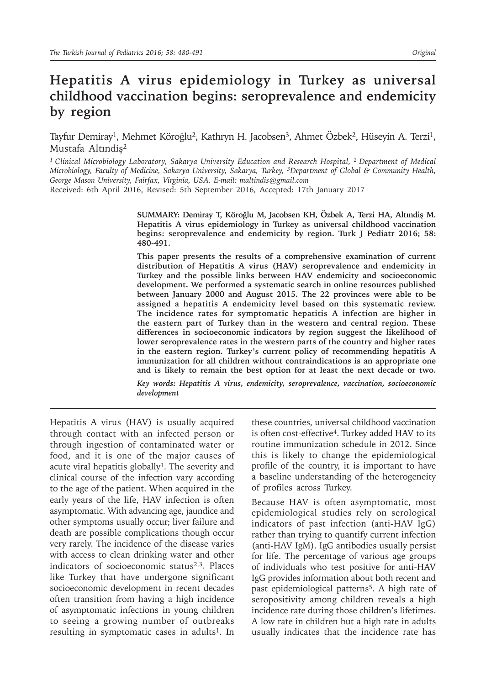# **Hepatitis A virus epidemiology in Turkey as universal childhood vaccination begins: seroprevalence and endemicity by region**

Tayfur Demiray<sup>1</sup>, Mehmet Köroğlu<sup>2</sup>, Kathryn H. Jacobsen<sup>3</sup>, Ahmet Özbek<sup>2</sup>, Hüseyin A. Terzi<sup>1</sup>, Mustafa Altındiş2

*<sup>1</sup>Clinical Microbiology Laboratory, Sakarya University Education and Research Hospital, 2 Department of Medical Microbiology, Faculty of Medicine, Sakarya University, Sakarya, Turkey, <sup>3</sup>Department of Global & Community Health, George Mason University, Fairfax, Virginia, USA. E-mail: maltindis@gmail.com* Received: 6th April 2016, Revised: 5th September 2016, Accepted: 17th January 2017

> **SUMMARY: Demiray T, Köroğlu M, Jacobsen KH, Özbek A, Terzi HA, Altındiş M. Hepatitis A virus epidemiology in Turkey as universal childhood vaccination begins: seroprevalence and endemicity by region. Turk J Pediatr 2016; 58: 480-491.**

> **This paper presents the results of a comprehensive examination of current distribution of Hepatitis A virus (HAV) seroprevalence and endemicity in Turkey and the possible links between HAV endemicity and socioeconomic development. We performed a systematic search in online resources published between January 2000 and August 2015. The 22 provinces were able to be assigned a hepatitis A endemicity level based on this systematic review. The incidence rates for symptomatic hepatitis A infection are higher in the eastern part of Turkey than in the western and central region. These differences in socioeconomic indicators by region suggest the likelihood of lower seroprevalence rates in the western parts of the country and higher rates in the eastern region. Turkey's current policy of recommending hepatitis A immunization for all children without contraindications is an appropriate one and is likely to remain the best option for at least the next decade or two.**

> *Key words: Hepatitis A virus, endemicity, seroprevalence, vaccination, socioeconomic development*

Hepatitis A virus (HAV) is usually acquired through contact with an infected person or through ingestion of contaminated water or food, and it is one of the major causes of acute viral hepatitis globally<sup>1</sup>. The severity and clinical course of the infection vary according to the age of the patient. When acquired in the early years of the life, HAV infection is often asymptomatic. With advancing age, jaundice and other symptoms usually occur; liver failure and death are possible complications though occur very rarely. The incidence of the disease varies with access to clean drinking water and other indicators of socioeconomic status $2,3$ . Places like Turkey that have undergone significant socioeconomic development in recent decades often transition from having a high incidence of asymptomatic infections in young children to seeing a growing number of outbreaks resulting in symptomatic cases in adults<sup>1</sup>. In

these countries, universal childhood vaccination is often cost-effective<sup>4</sup>. Turkey added HAV to its routine immunization schedule in 2012. Since this is likely to change the epidemiological profile of the country, it is important to have a baseline understanding of the heterogeneity of profiles across Turkey.

Because HAV is often asymptomatic, most epidemiological studies rely on serological indicators of past infection (anti-HAV IgG) rather than trying to quantify current infection (anti-HAV IgM). IgG antibodies usually persist for life. The percentage of various age groups of individuals who test positive for anti-HAV IgG provides information about both recent and past epidemiological patterns<sup>5</sup>. A high rate of seropositivity among children reveals a high incidence rate during those children's lifetimes. A low rate in children but a high rate in adults usually indicates that the incidence rate has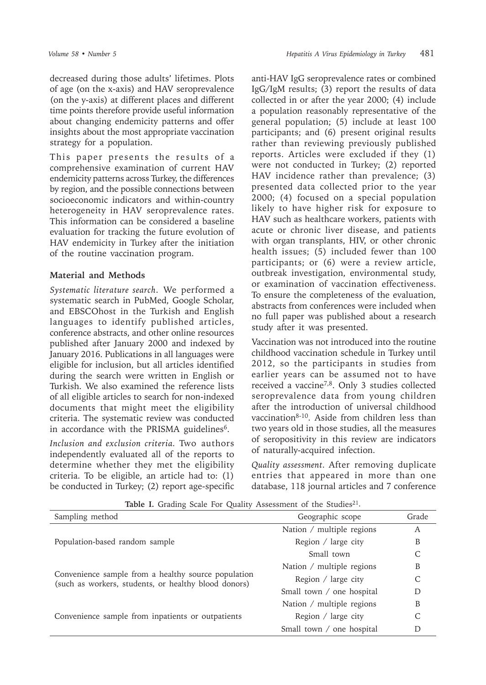decreased during those adults' lifetimes. Plots of age (on the x-axis) and HAV seroprevalence (on the y-axis) at different places and different time points therefore provide useful information about changing endemicity patterns and offer insights about the most appropriate vaccination strategy for a population.

This paper presents the results of a comprehensive examination of current HAV endemicity patterns across Turkey, the differences by region, and the possible connections between socioeconomic indicators and within-country heterogeneity in HAV seroprevalence rates. This information can be considered a baseline evaluation for tracking the future evolution of HAV endemicity in Turkey after the initiation of the routine vaccination program.

## **Material and Methods**

*Systematic literature search*. We performed a systematic search in PubMed, Google Scholar, and EBSCOhost in the Turkish and English languages to identify published articles, conference abstracts, and other online resources published after January 2000 and indexed by January 2016. Publications in all languages were eligible for inclusion, but all articles identified during the search were written in English or Turkish. We also examined the reference lists of all eligible articles to search for non-indexed documents that might meet the eligibility criteria. The systematic review was conducted in accordance with the PRISMA guidelines<sup>6</sup>.

*Inclusion and exclusion criteria.* Two authors independently evaluated all of the reports to determine whether they met the eligibility criteria. To be eligible, an article had to: (1) be conducted in Turkey; (2) report age-specific anti-HAV IgG seroprevalence rates or combined IgG/IgM results; (3) report the results of data collected in or after the year 2000; (4) include a population reasonably representative of the general population; (5) include at least 100 participants; and (6) present original results rather than reviewing previously published reports. Articles were excluded if they (1) were not conducted in Turkey; (2) reported HAV incidence rather than prevalence; (3) presented data collected prior to the year 2000; (4) focused on a special population likely to have higher risk for exposure to HAV such as healthcare workers, patients with acute or chronic liver disease, and patients with organ transplants, HIV, or other chronic health issues; (5) included fewer than 100 participants; or (6) were a review article, outbreak investigation, environmental study, or examination of vaccination effectiveness. To ensure the completeness of the evaluation, abstracts from conferences were included when no full paper was published about a research study after it was presented.

Vaccination was not introduced into the routine childhood vaccination schedule in Turkey until 2012, so the participants in studies from earlier years can be assumed not to have received a vaccine7,8. Only 3 studies collected seroprevalence data from young children after the introduction of universal childhood vaccination<sup>8-10</sup>. Aside from children less than two years old in those studies, all the measures of seropositivity in this review are indicators of naturally-acquired infection.

*Quality assessment.* After removing duplicate entries that appeared in more than one database, 118 journal articles and 7 conference

| Sampling method                                                                                             | Geographic scope          | Grade |
|-------------------------------------------------------------------------------------------------------------|---------------------------|-------|
|                                                                                                             | Nation / multiple regions | A     |
| Population-based random sample                                                                              | Region / large city       | B     |
|                                                                                                             | Small town                |       |
|                                                                                                             | Nation / multiple regions | B     |
| Convenience sample from a healthy source population<br>(such as workers, students, or healthy blood donors) | Region / large city       |       |
|                                                                                                             | Small town / one hospital |       |
|                                                                                                             | Nation / multiple regions | B     |
| Convenience sample from inpatients or outpatients                                                           | Region $/$ large city     |       |
|                                                                                                             | Small town / one hospital |       |

Table I. Grading Scale For Quality Assessment of the Studies<sup>21</sup>.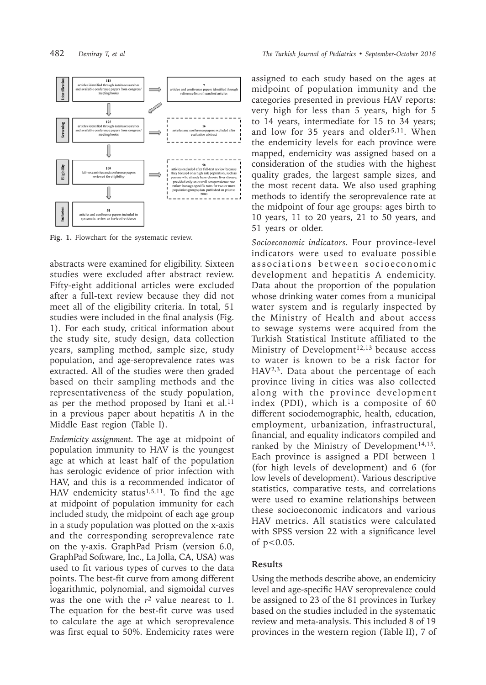

**Fig. 1.** Flowchart for the systematic review.

abstracts were examined for eligibility. Sixteen studies were excluded after abstract review. Fifty-eight additional articles were excluded after a full-text review because they did not meet all of the eligibility criteria. In total, 51 studies were included in the final analysis (Fig. 1). For each study, critical information about the study site, study design, data collection years, sampling method, sample size, study population, and age-seroprevalence rates was extracted. All of the studies were then graded based on their sampling methods and the representativeness of the study population, as per the method proposed by Itani et al. $11$ in a previous paper about hepatitis A in the Middle East region (Table I).

*Endemicity assignment.* The age at midpoint of population immunity to HAV is the youngest age at which at least half of the population has serologic evidence of prior infection with HAV, and this is a recommended indicator of HAV endemicity status<sup>1,5,11</sup>. To find the age at midpoint of population immunity for each included study, the midpoint of each age group in a study population was plotted on the x-axis and the corresponding seroprevalence rate on the y-axis. GraphPad Prism (version 6.0, GraphPad Software, Inc., La Jolla, CA, USA) was used to fit various types of curves to the data points. The best-fit curve from among different logarithmic, polynomial, and sigmoidal curves was the one with the *r2* value nearest to 1. The equation for the best-fit curve was used to calculate the age at which seroprevalence was first equal to 50%. Endemicity rates were

assigned to each study based on the ages at midpoint of population immunity and the categories presented in previous HAV reports: very high for less than 5 years, high for 5 to 14 years, intermediate for 15 to 34 years; and low for 35 years and older<sup>5,11</sup>. When the endemicity levels for each province were mapped, endemicity was assigned based on a consideration of the studies with the highest quality grades, the largest sample sizes, and the most recent data. We also used graphing methods to identify the seroprevalence rate at the midpoint of four age groups: ages birth to 10 years, 11 to 20 years, 21 to 50 years, and 51 years or older.

*Socioeconomic indicators.* Four province-level indicators were used to evaluate possible associations between socioeconomic development and hepatitis A endemicity. Data about the proportion of the population whose drinking water comes from a municipal water system and is regularly inspected by the Ministry of Health and about access to sewage systems were acquired from the Turkish Statistical Institute affiliated to the Ministry of Development<sup>12,13</sup> because access to water is known to be a risk factor for HAV2,3. Data about the percentage of each province living in cities was also collected along with the province development index (PDI), which is a composite of 60 different sociodemographic, health, education, employment, urbanization, infrastructural, financial, and equality indicators compiled and ranked by the Ministry of Development<sup>14,15</sup>. Each province is assigned a PDI between 1 (for high levels of development) and 6 (for low levels of development). Various descriptive statistics, comparative tests, and correlations were used to examine relationships between these socioeconomic indicators and various HAV metrics. All statistics were calculated with SPSS version 22 with a significance level of  $p < 0.05$ .

### **Results**

Using the methods describe above, an endemicity level and age-specific HAV seroprevalence could be assigned to 23 of the 81 provinces in Turkey based on the studies included in the systematic review and meta-analysis. This included 8 of 19 provinces in the western region (Table II), 7 of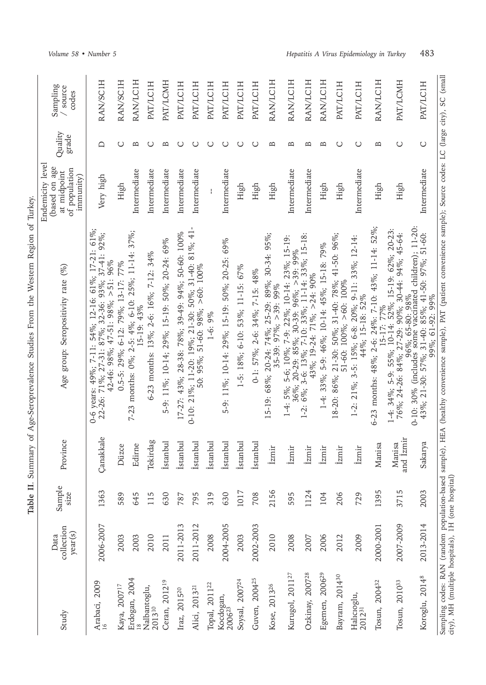| $\overline{\phantom{a}}$   |
|----------------------------|
|                            |
| $1 - 2 - 1$<br>;<br>١<br>ļ |
| ı<br>,,,,                  |
| $\frac{1}{2}$              |
| $+1$<br>i                  |
| i                          |
| ł<br>I                     |
| ť                          |
|                            |
| $\vdots$<br>ļ              |
| <b>1224</b><br>ر<br>F      |

| Study                              | collection<br>year(s)<br>Data | Sample<br><b>SIZe</b> | Province                   | Age group: Seropositivity rate (%)                                                                                                                                                                                      | Endemicity level<br>(based on age<br>of population<br>at midpoint<br>immunity) | Quality<br>grade | Sampling<br>/ source<br>codes |
|------------------------------------|-------------------------------|-----------------------|----------------------------|-------------------------------------------------------------------------------------------------------------------------------------------------------------------------------------------------------------------------|--------------------------------------------------------------------------------|------------------|-------------------------------|
| Arabaci, 2009                      | 2006-2007                     | 1363                  | Çanakkale                  | 0-6 years: 49%; 7-11: 54%; 12-16: 61%; 17-21: 61%;<br>22-26: 71%; 27-31: 87%; 32-36: 93%; 37-41: 92%;<br>42-46: 98%; 47-51: 98%; >51: 96%                                                                               | Very high                                                                      | ≏                | RAN/SCIH                      |
| Kaya, 2007 <sup>17</sup>           | 2003                          | 589                   | Düzce                      | 0.5-5: 29%; 6-12: 79%; 13-17: 77%                                                                                                                                                                                       | High                                                                           | $\cup$           | RAN/SCIH                      |
| Erdogan, 2004                      | 2003                          | 645                   | Edirne                     | 7-23 months: $0\%$ ; 2-5: 4%; 6-10: 25%; 11-14: 37%;<br>15-19: 43%                                                                                                                                                      | Intermediate                                                                   | Б                | RAN/LC1H                      |
| Nalbantoglu,<br>2013 <sup>10</sup> | 2010                          | 115                   | Tekirdag                   | 6-23 months: 13%; 2-6: 16%; 7-12: 34%                                                                                                                                                                                   | Intermediate                                                                   | O                | PAT/LC1H                      |
| Ceran, 2012 <sup>19</sup>          | 2011                          | 630                   | İstanbul                   | 5-9: 11%; 10-14; 29%; 15-19: 50%; 20-24: 69%                                                                                                                                                                            | Intermediate                                                                   | $\overline{B}$   | PAT/LCMH                      |
| Iraz, 2015 <sup>20</sup>           | 2011-2013                     | 787                   | İstanbul                   | 17-27: 43%; 28-38: 78%; 39-49: 94%; 50-60: 100%                                                                                                                                                                         | Intermediate                                                                   | $\cup$           | PAT/LC1H                      |
| Alici, 2013 <sup>21</sup>          | 2011-2012                     | 795                   | istanbul                   | 0-10: 21%; 11-20: 19%; 21-30: 50%; 31-40: 81%; 41-<br>50: 95%; 51-60: 98%; >60: 100%                                                                                                                                    | Intermediate                                                                   | O                | PAT/LC1H                      |
| Topal, 2011 <sup>22</sup>          | 2008                          | 319                   | istanbul                   | $1-6:9%$                                                                                                                                                                                                                |                                                                                | O                | PAT/LC1H                      |
| Kocdogan,<br>2006 <sup>23</sup>    | 2004-2005                     | 630                   | istanbul                   | 5-9: 11%; 10-14: 29%; 15-19: 50%; 20-25: 69%                                                                                                                                                                            | Intermediate                                                                   | $\cup$           | PAT/LC1H                      |
| Soysal, 2007 <sup>24</sup>         | 2003                          | 1017                  | İstanbul                   | 1-5: 18%; 6-10: 53%; 11-15: 67%                                                                                                                                                                                         | High                                                                           | $\cup$           | PAT/LC1H                      |
| Guven, 2004 <sup>25</sup>          | 2002-2003                     | 708                   | İstanbul                   | $0-1: 57\%; 2-6: 34\%; 7-15: 48\%$                                                                                                                                                                                      | High                                                                           | O                | PAT/LC1H                      |
| Kose, 2013 <sup>26</sup>           | 2010                          | 2156                  | <b>zmir</b>                | 15-19: 68%; 20-24: 74%; 25-29: 89%; 30-34: 95%;<br>35-39: $97\%$ ; $>39$ : $99\%$                                                                                                                                       | High                                                                           | $\overline{a}$   | RAN/LC1H                      |
| Kurugol, 2011 <sup>27</sup>        | 2008                          | 595                   | Izmir                      | 1-4: 5%; 5-6; 10%; 7-9: 22%; 10-14: 23%; 15-19:<br>36%; 20-29: 85%; 30-39: 96%; >39: 99%                                                                                                                                | Intermediate                                                                   | $\mathbf{p}$     | RAN/LC1H                      |
| Ozkinay, 2007 <sup>28</sup>        | 2007                          | 1124                  | izmir                      | 6%; 3-6: 13%; 7-10: 33%; 11-14: 33%; 15-18:<br>43%; 19-24: 71%; > 24: 90%<br>$\frac{1}{2}$                                                                                                                              | Intermediate                                                                   | Б                | RAN/LC1H                      |
| Egemen, 2006 <sup>29</sup>         | 2006                          | 104                   | <b>Izmir</b>               | 1-4: 33%; 5-9: 46%; 10-14: 45%; 15-18: 79%                                                                                                                                                                              | High                                                                           | $\mathbf{a}$     | RAN/LC1H                      |
| Bayram, 2014 <sup>30</sup>         | 2012                          | 206                   | <i>zmir</i>                | 18-20: 86%; 21-30: 50%; 31-40: 78%; 41-50: 96%;<br>51-60: 100%; >60: 100%                                                                                                                                               | High                                                                           | ပ                | PAT/LC1H                      |
| Halicioglu,<br>2012 <sup>31</sup>  | 2009                          | 729                   | <i>zmir</i>                | 1-2: 21%; 3-5: 15%; 6-8: 20%; 9-11: 33%; 12-14:<br>44%; 15-18: 52%                                                                                                                                                      | Intermediate                                                                   | $\cup$           | PAT/LC1H                      |
| Tosun, 2004 <sup>32</sup>          | 2000-2001                     | 1395                  | lanisa<br>Σ                | 6-23 months: 48%; 2-6: 24%: 7-10: 43%; 11-14: 52%;<br>15-17: 77%                                                                                                                                                        | High                                                                           | $\mathbf{a}$     | RAN/LC1H                      |
| Tosun, 2010 <sup>33</sup>          | 2007-2009                     | 3715                  | and <i>izmir</i><br>Manisa | $1-4$ : 34%; 5-9: 55%; 10-14: 52%; 15-19: 62%; 20-23:<br>76%; 24-26: 84%; 27-29: 90%; 30-44: 94%; 45-64:                                                                                                                | High                                                                           | $\cup$           | PAT/LCMH                      |
| Koroglu, 2014 <sup>8</sup>         | 2013-2014                     | 2003                  | Sakarya                    | 96%; 65-80: 98%<br>0-10: 30% (includes some vaccinated children); 11-20:<br>43%; 21-30: 57%; 31-40: 85%; 41-50: 97%; 51-60:<br>99%; 61-92: 99%                                                                          | Intermediate                                                                   | $\cup$           | PAT/LC1H                      |
|                                    |                               |                       |                            | Sampling codes: RAN (random population-based sample), HEA (healthy convenience sample), PAT (patient convenience sample); Source codes: LC (large city), SC (small<br>city), MH (multiple hospitals), 1H (one hospital) |                                                                                |                  |                               |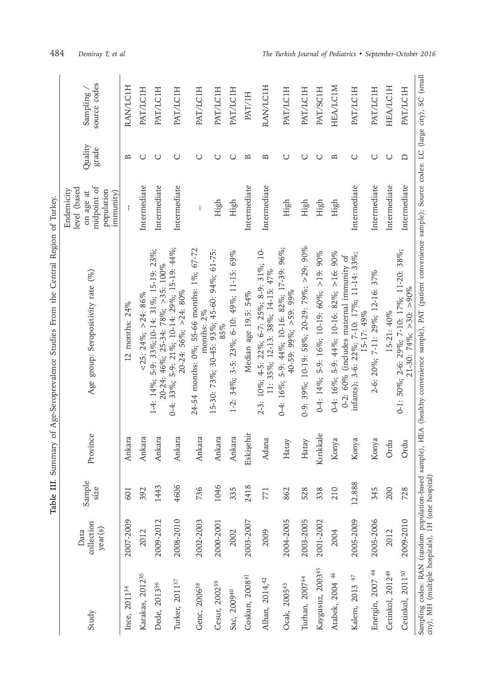|                                                   |                               | Table III.     |           | Summary of Age-Seroprevalence Studies From the Central Region of Turkey.                                                                                           |                                                                                   |                  |                          |
|---------------------------------------------------|-------------------------------|----------------|-----------|--------------------------------------------------------------------------------------------------------------------------------------------------------------------|-----------------------------------------------------------------------------------|------------------|--------------------------|
| Study                                             | collection<br>year(s)<br>Data | Sample<br>size | Province  | Age group: Seropositivity rate (%)                                                                                                                                 | midpoint of<br>level (based<br>Endemicity<br>population<br>on age at<br>immunity) | Quality<br>grade | source codes<br>Sampling |
| Ince, 2011 <sup>34</sup>                          | 2007-2009                     | 601            | Ankara    | 12 months: $24\%$                                                                                                                                                  |                                                                                   | $\mathbf{r}$     | <b>RAN/LC1H</b>          |
| Karakas, 2012 <sup>35</sup>                       | 2012                          | 392            | Ankara    | $<$ 25: 24%; > 24: 86%                                                                                                                                             | Intermediate                                                                      | O                | PAT/LC1H                 |
| Dede, 2013 <sup>36</sup>                          | 2009-2012                     | 1443           | Ankara    | 1-4: 14%; 5-9: 33%;10-14: 31%; 15-19: 23%;<br>$20-24:46\%; 25-34:78\%; >35:100\%$                                                                                  | Intermediate                                                                      | O                | PAT/LC1H                 |
| Turker, 2011 <sup>37</sup>                        | 2008-2010                     | 4606           | Ankara    | 0-4: 33%; 5-9: 21%; 10-14: 29%; 15-19: 44%;<br>$20-24:56\%$ ; >24: 80%                                                                                             | Intermediate                                                                      | O                | PAT/LC1H                 |
| Genc, 2006 <sup>38</sup>                          | 2002-2003                     | 736            | Ankara    | 24-54 months: 0%; 55-66 months: 1%; 67-72<br>months: 2%                                                                                                            | ł                                                                                 | $\cup$           | PAT/LC1H                 |
| Cesur, 2002 <sup>39</sup>                         | 2000-2001                     | 1046           | Ankara    | 15-30: 73%; 30-45: 93%; 45-60: 94%; 61-75:<br>85%                                                                                                                  | High                                                                              | $\cup$           | PAT/LC1H                 |
| Sac, 200940                                       | 2002                          | 335            | Ankara    | 1-2: 34%; 3-5: 23%; 6-10: 49%; 11-15: 69%                                                                                                                          | High                                                                              | O                | PAT/LC1H                 |
| Coskun, 2008 <sup>41</sup>                        | 2003-2007                     | 2418           | Eskişehir | Median age 19.5: 54%                                                                                                                                               | Intermediate                                                                      | $\mathbf{a}$     | PAT/IH                   |
| Alhan, 2014, 42                                   | 2009                          | 771            | Adana     | 2-3: 10%; 4-5: 22%; 6-7: 25%; 8-9: 31%; 10-<br>11: 35%; 12-13: 38%; 14-15: 47%                                                                                     | Intermediate                                                                      | ≏                | <b>RAN/LC1H</b>          |
| Ocak, 2005 <sup>43</sup>                          | 2004-2005                     | 862            | Hatay     | 0-4: 16%; 5-9: 44%; 10-16: 82%; 17-39: 96%;<br>$40-59:99\%$ ; >59: 99%                                                                                             | High                                                                              | ပ                | PAT/LC1H                 |
| Turhan, 2007 <sup>44</sup>                        | 2003-2005                     | 528            | Hatay     | 0-9: 39%; 10-19: 58%; 20-29: 79%; $>29$ : 90%                                                                                                                      | High                                                                              | O                | PAT/LC1H                 |
| Kaygusuz, 2003 <sup>45</sup>                      | 2001-2002                     | 338            | Kırıkkale | $0.4: 14\%$ ; 5-9: 16%; 10-19: 60%; >19: 90%                                                                                                                       | High                                                                              | ပ                | PAT/SC1H                 |
| Atabek, 2004 46                                   | 2004                          | 210            | Konya     | $0-4$ : 16%; 5-9: 44%; 10-16: 82%; >16: 90%                                                                                                                        | High                                                                              | $\mathbf{a}$     | HEA/LC1M                 |
| Kalem, 2013 47                                    | 2005-2009                     | 12,888         | Konya     | infants); 3-6: 22%; 7-10: 17%; 11-14: 33%;<br>0-2: 60% (includes maternal immunity of<br>15-17: 49%                                                                | Intermediate                                                                      | $\cup$           | PAT/LC1H                 |
| Energin, 2007 <sup>48</sup>                       | 2005-2006                     | 345            | Konya     | 2-6: 20%; 7-11: 29%; 12-16: 37%                                                                                                                                    | Intermediate                                                                      | $\cup$           | PAT/LC1H                 |
| Cetinkol, 2012 <sup>49</sup>                      | 2012                          | 200            | Ordu      | 15-21: 40%                                                                                                                                                         | Intermediate                                                                      | $\cup$           | <b>HEA/LCIH</b>          |
| Cetinkol, 2011 <sup>50</sup>                      | 2009-2010                     | 728            | Ordu      | 0-1: 50%; 2-6: 29%; 7-10: 17%; 11-20: 38%;<br>$21-30: 74\%$ ; >30: >90%                                                                                            | Intermediate                                                                      | $\Box$           | PAT/LC1H                 |
| city), MH (multiple hospitals), 1H (one hospital) |                               |                |           | Sampling codes: RAN (random population-based sample), HEA (healthy convenience sample), PAT (patient convenience sample); Source codes: LC (large city), SC (small |                                                                                   |                  |                          |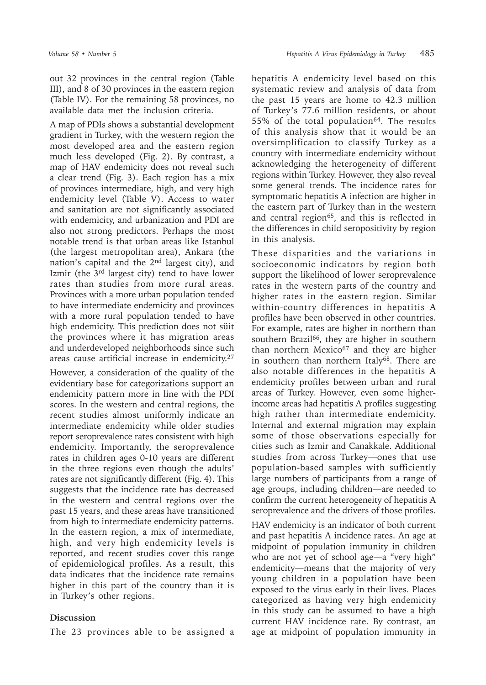out 32 provinces in the central region (Table III), and 8 of 30 provinces in the eastern region (Table IV). For the remaining 58 provinces, no available data met the inclusion criteria.

A map of PDIs shows a substantial development gradient in Turkey, with the western region the most developed area and the eastern region much less developed (Fig. 2). By contrast, a map of HAV endemicity does not reveal such a clear trend (Fig. 3). Each region has a mix of provinces intermediate, high, and very high endemicity level (Table V). Access to water and sanitation are not significantly associated with endemicity, and urbanization and PDI are also not strong predictors. Perhaps the most notable trend is that urban areas like Istanbul (the largest metropolitan area), Ankara (the nation's capital and the  $2<sup>nd</sup>$  largest city), and Izmir (the 3rd largest city) tend to have lower rates than studies from more rural areas. Provinces with a more urban population tended to have intermediate endemicity and provinces with a more rural population tended to have high endemicity. This prediction does not süit the provinces where it has migration areas and underdeveloped neighborhoods since such areas cause artificial increase in endemicity.27

However, a consideration of the quality of the evidentiary base for categorizations support an endemicity pattern more in line with the PDI scores. In the western and central regions, the recent studies almost uniformly indicate an intermediate endemicity while older studies report seroprevalence rates consistent with high endemicity. Importantly, the seroprevalence rates in children ages 0-10 years are different in the three regions even though the adults' rates are not significantly different (Fig. 4). This suggests that the incidence rate has decreased in the western and central regions over the past 15 years, and these areas have transitioned from high to intermediate endemicity patterns. In the eastern region, a mix of intermediate, high, and very high endemicity levels is reported, and recent studies cover this range of epidemiological profiles. As a result, this data indicates that the incidence rate remains higher in this part of the country than it is in Turkey's other regions.

### **Discussion**

The 23 provinces able to be assigned a

hepatitis A endemicity level based on this systematic review and analysis of data from the past 15 years are home to 42.3 million of Turkey's 77.6 million residents, or about 55% of the total population<sup>64</sup>. The results of this analysis show that it would be an oversimplification to classify Turkey as a country with intermediate endemicity without acknowledging the heterogeneity of different regions within Turkey. However, they also reveal some general trends. The incidence rates for symptomatic hepatitis A infection are higher in the eastern part of Turkey than in the western and central region<sup>65</sup>, and this is reflected in the differences in child seropositivity by region in this analysis.

These disparities and the variations in socioeconomic indicators by region both support the likelihood of lower seroprevalence rates in the western parts of the country and higher rates in the eastern region. Similar within-country differences in hepatitis A profiles have been observed in other countries. For example, rates are higher in northern than southern Brazil $66$ , they are higher in southern than northern Mexico $67$  and they are higher in southern than northern Italy<sup>68</sup>. There are also notable differences in the hepatitis A endemicity profiles between urban and rural areas of Turkey. However, even some higherincome areas had hepatitis A profiles suggesting high rather than intermediate endemicity. Internal and external migration may explain some of those observations especially for cities such as Izmir and Canakkale. Additional studies from across Turkey—ones that use population-based samples with sufficiently large numbers of participants from a range of age groups, including children—are needed to confirm the current heterogeneity of hepatitis A seroprevalence and the drivers of those profiles.

HAV endemicity is an indicator of both current and past hepatitis A incidence rates. An age at midpoint of population immunity in children who are not yet of school age—a "very high" endemicity—means that the majority of very young children in a population have been exposed to the virus early in their lives. Places categorized as having very high endemicity in this study can be assumed to have a high current HAV incidence rate. By contrast, an age at midpoint of population immunity in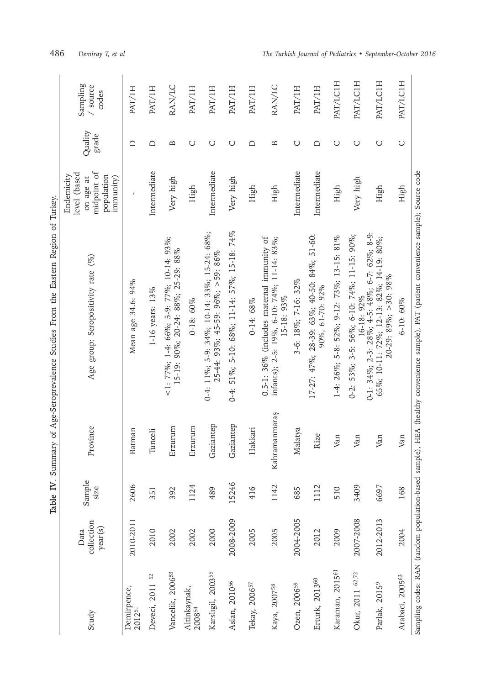|                               |                               | Table IV. Sur  |               | mmary of Age-Seroprevalence Studies From the Eastern Region of Turkey,                                                                |                                                                                   |                  |                               |
|-------------------------------|-------------------------------|----------------|---------------|---------------------------------------------------------------------------------------------------------------------------------------|-----------------------------------------------------------------------------------|------------------|-------------------------------|
| Study                         | collection<br>year(s)<br>Data | Sample<br>size | Province      | Age group: Seropositivity rate (%)                                                                                                    | midpoint of<br>level (based<br>Endemicity<br>population<br>on age at<br>immunity) | Quality<br>grade | Sampling<br>/ source<br>codes |
| Demirpence,<br>201251         | 2010-2011                     | 2606           | Batman        | Mean age 34.6: 94%                                                                                                                    |                                                                                   | ≏                | PAT/1H                        |
| 52<br>Deveci, 2011            | 2010                          | 351            | Tunceli       | 1-16 years: 13%                                                                                                                       | Intermediate                                                                      | $\Box$           | PAT/1H                        |
| Vancelik, 2006 <sup>53</sup>  | 2002                          | 392            | Erzurum       | $\leq$ 1: 77%; 1-4: 66%; 5-9: 77%; 10-14: 93%;<br>15-19: 90%; 20-24: 88%; 25-29: 88%                                                  | Very high                                                                         | $\mathbf{a}$     | RAN/LC                        |
| Altinkaynak,<br>200854        | 2002                          | 1124           | Erzurum       | 0-18: 60%                                                                                                                             | High                                                                              | $\cup$           | PAT/1H                        |
| Karslıgil, 2003 <sup>55</sup> | 2000                          | 489            | Gaziantep     | 0-4: 11%; 5-9: 34%; 10-14: 33%; 15-24: 68%;<br>$25-44: 93\%$ ; 45-59: 96%; >59: 86%                                                   | Intermediate                                                                      | O                | PAT/1H                        |
| Aslan, 2010 <sup>56</sup>     | 2008-2009                     | 15246          | Gaziantep     | 51%; 5-10: 68%; 11-14: 57%; 15-18: 74%<br>$0 - 4$ :                                                                                   | Very high                                                                         | ပ                | PAT/1H                        |
| Tekay, 2006 <sup>57</sup>     | 2005                          | 416            | Hakkari       | $0-14:68%$                                                                                                                            | High                                                                              | ≏                | PAT/1H                        |
| Kaya, 2007 <sup>58</sup>      | 2005                          | 1142           | Kahramanmaraş | 0.5-1: 36% (includes maternal immunity of<br>infants); 2-5: 19%, 6-10: 74%; 11-14: 83%;<br>15-18: 93%                                 | High                                                                              | $\overline{B}$   | RAN/LC                        |
| Ozen, 2006 <sup>59</sup>      | 2004-2005                     | 685            | Malatya       | 3-6: 18%; 7-16: 32%                                                                                                                   | Intermediate                                                                      | $\bigcirc$       | PAT/1H                        |
| Erturk, 2013 <sup>60</sup>    | 2012                          | 1112           | Rize          | 17-27: 47%; 28-39: 63%; 40-50: 84%; 51-60:<br>90%, 61-70: 92%                                                                         | Intermediate                                                                      | $\Box$           | PAT/1H                        |
| Karaman, 2015 <sup>61</sup>   | 2009                          | 510            | Van           | 1-4: 26%; 5-8: 52%; 9-12: 73%; 13-15: 81%                                                                                             | High                                                                              | $\cup$           | <b>PAT/LCIH</b>               |
| Okur, 2011 62,72              | 2007-2008                     | 3409           | Van           | 0-2: 53%; 3-5: 56%; 6-10: 74%; 11-15: 90%;<br>16-18: 92%                                                                              | Very high                                                                         | $\cup$           | PAT/LC1H                      |
| Parlak, 2015 <sup>9</sup>     | 2012-2013                     | 6697           | Van           | 0-1: 34%; 2-3: 28%; 4-5: 48%; 6-7: 62%; 8-9:<br>65%; 10-11: 72%; 12-13: 82%; 14-19: 80%;<br>$20-29:89\%$ ; >30: 98%                   | High                                                                              | $\cup$           | <b>PAT/LC1H</b>               |
| Arabaci, 200563               | 2004                          | 168            | Van           | 6-10: 60%                                                                                                                             | High                                                                              | $\cup$           | <b>PAT/LC1H</b>               |
|                               |                               |                |               | Sampling codes: RAN (random population-based sample), HEA (healthy convenience sample), PAT (patient convenience sample); Source code |                                                                                   |                  |                               |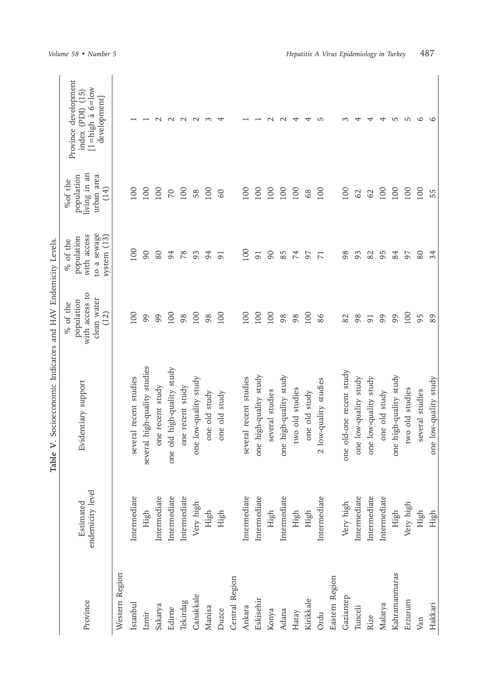|                |                               | Table V. Socioeconomic Indicators and HAV Endemicity Levels. |                                                                 |                                                                     |                                                             |                                                                                       |
|----------------|-------------------------------|--------------------------------------------------------------|-----------------------------------------------------------------|---------------------------------------------------------------------|-------------------------------------------------------------|---------------------------------------------------------------------------------------|
| Province       | endemicity level<br>Estimated | Evidentiary support                                          | with access to<br>clean water<br>population<br>% of the<br>(12) | to a sewage<br>with access<br>system (13)<br>population<br>% of the | living in an<br>urban area<br>population<br>%of the<br>(14) | Province development<br>$[1 = high \land 6 = low$<br>index (PDI) (15)<br>development] |
| Western Region |                               |                                                              |                                                                 |                                                                     |                                                             |                                                                                       |
| Istanbul       | Intermediate                  | several recent studies                                       | 100                                                             | 100                                                                 | 100                                                         |                                                                                       |
| Izmir          | High                          | several high-quality studies                                 | 99                                                              | 90                                                                  | 100                                                         |                                                                                       |
| Sakarya        | Intermediate                  | one recent study                                             | 99                                                              | 80                                                                  | 100                                                         | $\sim$                                                                                |
| Edirne         | Intermediate                  | one old high-quality study                                   | 100                                                             | 94                                                                  | $\sqrt{2}$                                                  | $\sim$                                                                                |
| Tekirdag       | Intermediate                  | one recent study                                             | 98                                                              | 78                                                                  | 100                                                         | $\sim$                                                                                |
| Canakkale      | Very high                     | one low-quality study                                        | 100                                                             | 93                                                                  | 58                                                          | $\sim$                                                                                |
| Manisa         | High                          | one old study                                                | 98                                                              | 94                                                                  | 100                                                         | S                                                                                     |
| Duzce          | High                          | one old study                                                | 100                                                             | $\overline{91}$                                                     | $\infty$                                                    |                                                                                       |
| Central Region |                               |                                                              |                                                                 |                                                                     |                                                             |                                                                                       |
| Ankara         | Intermediate                  | several recent studies                                       | 100                                                             | 100                                                                 | 100                                                         |                                                                                       |
| Eskisehir      | Intermediate                  | one high-quality study                                       | 100                                                             | $\overline{91}$                                                     | 100                                                         |                                                                                       |
| Konya          | High                          | several studies                                              | 100                                                             | 66                                                                  | 100                                                         | $\sim$                                                                                |
| Adana          | Intermediate                  | one high-quality study                                       | 98                                                              | 85                                                                  | 100                                                         | $\sim$                                                                                |
| Hatay          | High                          | two old studies                                              | 98                                                              | 74                                                                  | 100                                                         | ↤                                                                                     |
| Kirikkale      | High                          | one old study                                                | 100                                                             | 57                                                                  | 68                                                          |                                                                                       |
| Ordu           | Intermediate                  | 2 low-quality studies                                        | 86                                                              | $\overline{7}$                                                      | 100                                                         | 5                                                                                     |
| Eastern Region |                               |                                                              |                                                                 |                                                                     |                                                             |                                                                                       |
| Gaziantep      | Very high                     | one old-one recent study                                     | 82                                                              | 98                                                                  | 100                                                         |                                                                                       |
| Tunceli        | Intermediate                  | one low-quality study                                        | 98                                                              | 93                                                                  | $62$                                                        |                                                                                       |
| Rize           | Intermediate                  | one low-quality study                                        | $\overline{91}$                                                 | 82                                                                  | 62                                                          |                                                                                       |
| Malatya        | Intermediate                  | one old study                                                | 99                                                              | 95                                                                  | 100                                                         |                                                                                       |
| Kahramanmaras  | High                          | one high-quality study                                       | 99                                                              | 84                                                                  | 100                                                         | LO.                                                                                   |
| Erzurum        | Very high                     | two old studies                                              | 100                                                             | 97                                                                  | 100                                                         | 5                                                                                     |
| Van            | High                          | several studies                                              | 95                                                              | 80                                                                  | 100                                                         | $\circ$                                                                               |
| Hakkari        | High                          | one low-quality study                                        | 89                                                              | 34                                                                  | 55                                                          | 9                                                                                     |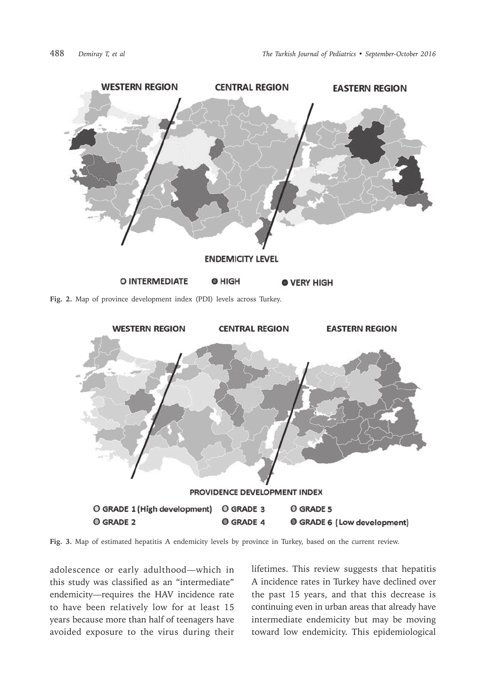

**Fig. 2.** Map of province development index (PDI) levels across Turkey.



**Fig. 3.** Map of estimated hepatitis A endemicity levels by province in Turkey, based on the current review.

adolescence or early adulthood—which in this study was classified as an "intermediate" endemicity—requires the HAV incidence rate to have been relatively low for at least 15 years because more than half of teenagers have avoided exposure to the virus during their lifetimes. This review suggests that hepatitis A incidence rates in Turkey have declined over the past 15 years, and that this decrease is continuing even in urban areas that already have intermediate endemicity but may be moving toward low endemicity. This epidemiological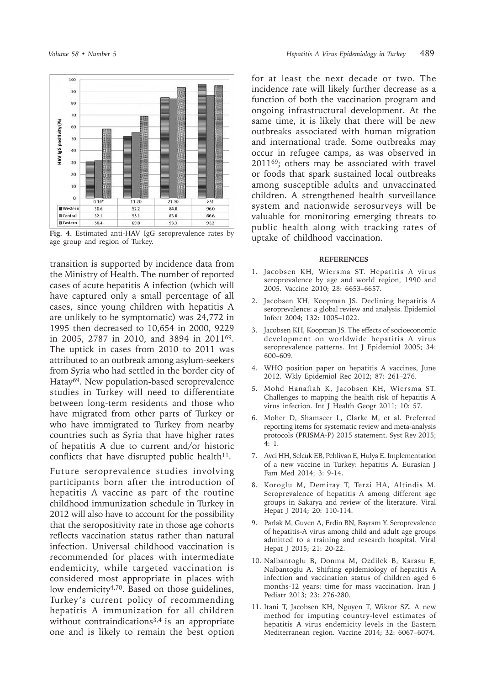

**Fig. 4.** Estimated anti-HAV IgG seroprevalence rates by age group and region of Turkey.

transition is supported by incidence data from the Ministry of Health. The number of reported cases of acute hepatitis A infection (which will have captured only a small percentage of all cases, since young children with hepatitis A are unlikely to be symptomatic) was 24,772 in 1995 then decreased to 10,654 in 2000, 9229 in 2005, 2787 in 2010, and 3894 in 201169. The uptick in cases from 2010 to 2011 was attributed to an outbreak among asylum-seekers from Syria who had settled in the border city of Hatay69. New population-based seroprevalence studies in Turkey will need to differentiate between long-term residents and those who have migrated from other parts of Turkey or who have immigrated to Turkey from nearby countries such as Syria that have higher rates of hepatitis A due to current and/or historic conflicts that have disrupted public health $11$ .

Future seroprevalence studies involving participants born after the introduction of hepatitis A vaccine as part of the routine childhood immunization schedule in Turkey in 2012 will also have to account for the possibility that the seropositivity rate in those age cohorts reflects vaccination status rather than natural infection. Universal childhood vaccination is recommended for places with intermediate endemicity, while targeted vaccination is considered most appropriate in places with low endemicity<sup>4,70</sup>. Based on those guidelines, Turkey's current policy of recommending hepatitis A immunization for all children without contraindications<sup>3,4</sup> is an appropriate one and is likely to remain the best option

for at least the next decade or two. The incidence rate will likely further decrease as a function of both the vaccination program and ongoing infrastructural development. At the same time, it is likely that there will be new outbreaks associated with human migration and international trade. Some outbreaks may occur in refugee camps, as was observed in 201169; others may be associated with travel or foods that spark sustained local outbreaks among susceptible adults and unvaccinated children. A strengthened health surveillance system and nationwide serosurveys will be valuable for monitoring emerging threats to public health along with tracking rates of uptake of childhood vaccination.

#### **REFERENCES**

- 1. Jacobsen KH, Wiersma ST. Hepatitis A virus seroprevalence by age and world region, 1990 and 2005. Vaccine 2010; 28: 6653–6657.
- 2. Jacobsen KH, Koopman JS. Declining hepatitis A seroprevalence: a global review and analysis. Epidemiol Infect 2004; 132: 1005–1022.
- 3. Jacobsen KH, Koopman JS. The effects of socioeconomic development on worldwide hepatitis A virus seroprevalence patterns. Int J Epidemiol 2005; 34: 600–609.
- 4. WHO position paper on hepatitis A vaccines, June 2012. Wkly Epidemiol Rec 2012; 87: 261–276.
- 5. Mohd Hanafiah K, Jacobsen KH, Wiersma ST. Challenges to mapping the health risk of hepatitis A virus infection. Int J Health Geogr 2011; 10: 57.
- 6. Moher D, Shamseer L, Clarke M, et al. Preferred reporting items for systematic review and meta-analysis protocols (PRISMA-P) 2015 statement. Syst Rev 2015; 4: 1.
- 7. Avci HH, Selcuk EB, Pehlivan E, Hulya E. Implementation of a new vaccine in Turkey: hepatitis A. Eurasian J Fam Med 2014; 3: 9-14.
- 8. Koroglu M, Demiray T, Terzi HA, Altindis M. Seroprevalence of hepatitis A among different age groups in Sakarya and review of the literature. Viral Hepat J 2014; 20: 110-114.
- 9. Parlak M, Guven A, Erdin BN, Bayram Y. Seroprevalence of hepatitis-A virus among child and adult age groups admitted to a training and research hospital. Viral Hepat J 2015; 21: 20-22.
- 10. Nalbantoglu B, Donma M, Ozdilek B, Karasu E, Nalbantoglu A. Shifting epidemiology of hepatitis A infection and vaccination status of children aged 6 months-12 years: time for mass vaccination. Iran J Pediatr 2013; 23: 276-280.
- 11. Itani T, Jacobsen KH, Nguyen T, Wiktor SZ. A new method for imputing country-level estimates of hepatitis A virus endemicity levels in the Eastern Mediterranean region. Vaccine 2014; 32: 6067–6074.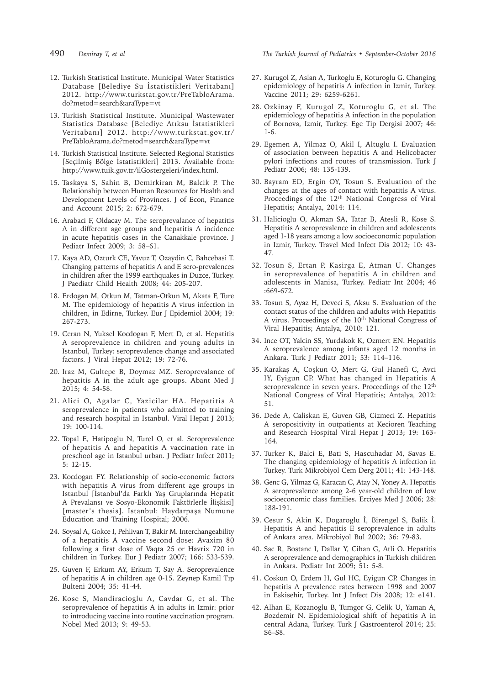- 
- 12. Turkish Statistical Institute. Municipal Water Statistics Database [Belediye Su İstatistikleri Veritabanı] 2012. http://www.turkstat.gov.tr/PreTabloArama. do?metod=search&araType=vt
- 13. Turkish Statistical Institute. Municipal Wastewater Statistics Database [Belediye Atıksu İstatistikleri Veritabanı] 2012. http://www.turkstat.gov.tr/ PreTabloArama.do?metod=search&araType=vt
- 14. Turkish Statistical Institute. Selected Regional Statistics [Seçilmiş Bölge İstatistikleri] 2013. Available from: http://www.tuik.gov.tr/ilGostergeleri/index.html.
- 15. Taskaya S, Sahin B, Demirkiran M, Balcik P. The Relationship between Human Resources for Health and Development Levels of Provinces. J of Econ, Finance and Account 2015; 2: 672-679.
- 16. Arabaci F, Oldacay M. The seroprevalance of hepatitis A in different age groups and hepatitis A incidence in acute hepatitis cases in the Canakkale province. J Pediatr Infect 2009; 3: 58–61.
- 17. Kaya AD, Ozturk CE, Yavuz T, Ozaydin C, Bahcebasi T. Changing patterns of hepatitis A and E sero-prevalences in children after the 1999 earthquakes in Duzce, Turkey. J Paediatr Child Health 2008; 44: 205-207.
- 18. Erdogan M, Otkun M, Tatman-Otkun M, Akata F, Ture M. The epidemiology of hepatitis A virus infection in children, in Edirne, Turkey. Eur J Epidemiol 2004; 19: 267-273.
- 19. Ceran N, Yuksel Kocdogan F, Mert D, et al. Hepatitis A seroprevalence in children and young adults in Istanbul, Turkey: seroprevalence change and associated factors. J Viral Hepat 2012; 19: 72-76.
- 20. Iraz M, Gultepe B, Doymaz MZ. Seroprevalance of hepatitis A in the adult age groups. Abant Med J 2015; 4: 54-58.
- 21. Alici O, Agalar C, Yazicilar HA. Hepatitis A seroprevalence in patients who admitted to training and research hospital in Istanbul. Viral Hepat J 2013; 19: 100-114.
- 22. Topal E, Hatipoglu N, Turel O, et al. Seroprevalence of hepatitis A and hepatitis A vaccination rate in preschool age in Istanbul urban. J Pediatr Infect 2011; 5: 12-15.
- 23. Kocdogan FY. Relationship of socio-economic factors with hepatitis A virus from different age groups in Istanbul [İstanbul'da Farklı Yaş Gruplarında Hepatit A Prevalansı ve Sosyo-Ekonomik Faktörlerle İlişkisi] [master's thesis]. Istanbul: Haydarpaşa Numune Education and Training Hospital; 2006.
- 24. Soysal A, Gokce I, Pehlivan T, Bakir M. Interchangeability of a hepatitis A vaccine second dose: Avaxim 80 following a first dose of Vaqta 25 or Havrix 720 in children in Turkey. Eur J Pediatr 2007; 166: 533-539.
- 25. Guven F, Erkum AY, Erkum T, Say A. Seroprevalence of hepatitis A in children age 0-15. Zeynep Kamil Tıp Bulteni 2004; 35: 41-44.
- 26. Kose S, Mandiracioglu A, Cavdar G, et al. The seroprevalence of hepatitis A in adults in Izmir: prior to introducing vaccine into routine vaccination program. Nobel Med 2013; 9: 49-53.

490 *Demiray T, et al The Turkish Journal of Pediatrics • September-October 2016*

- 27. Kurugol Z, Aslan A, Turkoglu E, Koturoglu G. Changing epidemiology of hepatitis A infection in Izmir, Turkey. Vaccine 2011; 29: 6259-6261.
- 28. Ozkinay F, Kurugol Z, Koturoglu G, et al. The epidemiology of hepatitis A infection in the population of Bornova, Izmir, Turkey. Ege Tip Dergisi 2007; 46: 1-6.
- 29. Egemen A, Yilmaz O, Akil I, Altuglu I. Evaluation of association between hepatitis A and Helicobacter pylori infections and routes of transmission. Turk J Pediatr 2006; 48: 135-139.
- 30. Bayram ED, Ergin OY, Tosun S. Evaluation of the changes at the ages of contact with hepatitis A virus. Proceedings of the 12th National Congress of Viral Hepatitis; Antalya, 2014: 114.
- 31. Halicioglu O, Akman SA, Tatar B, Atesli R, Kose S. Hepatitis A seroprevalence in children and adolescents aged 1-18 years among a low socioeconomic population in Izmir, Turkey. Travel Med Infect Dis 2012; 10: 43- 47.
- 32. Tosun S, Ertan P, Kasirga E, Atman U. Changes in seroprevalence of hepatitis A in children and adolescents in Manisa, Turkey. Pediatr Int 2004; 46 :669-672.
- 33. Tosun S, Ayaz H, Deveci S, Aksu S. Evaluation of the contact status of the children and adults with Hepatitis A virus. Proceedings of the 10<sup>th</sup> National Congress of Viral Hepatitis; Antalya, 2010: 121.
- 34. Ince OT, Yalcin SS, Yurdakok K, Ozmert EN. Hepatitis A seroprevalence among infants aged 12 months in Ankara. Turk J Pediatr 2011; 53: 114–116.
- 35. Karakaş A, Coşkun O, Mert G, Gul Hanefi C, Avci IY, Eyigun CP. What has changed in Hepatitis A seroprevalence in seven years. Proceedings of the 12<sup>th</sup> National Congress of Viral Hepatitis; Antalya, 2012: 51.
- 36. Dede A, Caliskan E, Guven GB, Cizmeci Z. Hepatitis A seropositivity in outpatients at Kecioren Teaching and Research Hospital Viral Hepat J 2013; 19: 163- 164.
- 37. Turker K, Balci E, Bati S, Hascuhadar M, Savas E. The changing epidemiology of hepatitis A infection in Turkey. Turk Mikrobiyol Cem Derg 2011; 41: 143-148.
- 38. Genc G, Yilmaz G, Karacan C, Atay N, Yoney A. Hepattis A seroprevalence among 2-6 year-old children of low socioeconomic class families. Erciyes Med J 2006; 28: 188-191.
- 39. Cesur S, Akin K, Dogaroglu İ, Birengel S, Balik İ. Hepatitis A and hepatitis E seroprevalence in adults of Ankara area. Mikrobiyol Bul 2002; 36: 79-83.
- 40. Sac R, Bostanc I, Dallar Y, Cihan G, Atli O. Hepatitis A seroprevalence and demographics in Turkish children in Ankara. Pediatr Int 2009; 51: 5-8.
- 41. Coskun O, Erdem H, Gul HC, Eyigun CP. Changes in hepatitis A prevalence rates between 1998 and 2007 in Eskisehir, Turkey. Int J Infect Dis 2008; 12: e141.
- 42. Alhan E, Kozanoglu B, Tumgor G, Celik U, Yaman A, Bozdemir N. Epidemiological shift of hepatitis A in central Adana, Turkey. Turk J Gastroenterol 2014; 25: S6–S8.